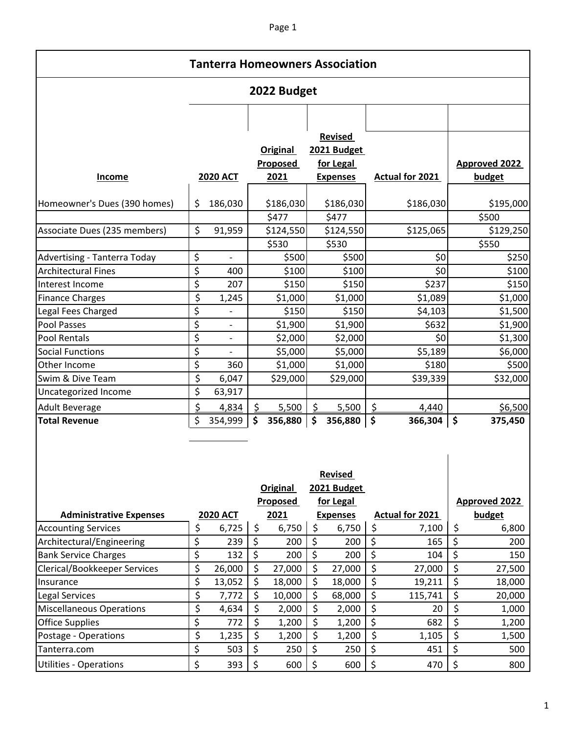## Page 1

| <b>Tanterra Homeowners Association</b> |    |                          |    |                             |    |                               |                        |           |                     |                      |  |  |  |
|----------------------------------------|----|--------------------------|----|-----------------------------|----|-------------------------------|------------------------|-----------|---------------------|----------------------|--|--|--|
| 2022 Budget                            |    |                          |    |                             |    |                               |                        |           |                     |                      |  |  |  |
|                                        |    |                          |    |                             |    |                               |                        |           |                     |                      |  |  |  |
|                                        |    |                          |    |                             |    | <b>Revised</b><br>2021 Budget |                        |           |                     |                      |  |  |  |
|                                        |    |                          |    | <b>Original</b><br>Proposed |    | for Legal                     |                        |           |                     | <b>Approved 2022</b> |  |  |  |
| Income                                 |    | <b>2020 ACT</b>          |    | 2021                        |    | <b>Expenses</b>               | <b>Actual for 2021</b> |           |                     | budget               |  |  |  |
|                                        |    |                          |    |                             |    |                               |                        |           |                     |                      |  |  |  |
| Homeowner's Dues (390 homes)           | \$ | 186,030                  |    | \$186,030                   |    | \$186,030                     |                        | \$186,030 |                     | \$195,000            |  |  |  |
|                                        |    |                          |    | \$477                       |    | \$477                         |                        |           |                     | \$500                |  |  |  |
| Associate Dues (235 members)           | \$ | 91,959                   |    | \$124,550                   |    | \$124,550                     |                        | \$125,065 |                     | \$129,250            |  |  |  |
|                                        |    |                          |    | \$530                       |    | \$530                         |                        |           |                     | \$550                |  |  |  |
| Advertising - Tanterra Today           | \$ |                          |    | \$500                       |    | \$500                         |                        | \$0       |                     | \$250                |  |  |  |
| <b>Architectural Fines</b>             | \$ | 400                      |    | \$100                       |    | \$100                         |                        | \$0       |                     | \$100                |  |  |  |
| Interest Income                        | \$ | 207                      |    | \$150                       |    | \$150                         |                        | \$237     |                     | \$150                |  |  |  |
| <b>Finance Charges</b>                 | \$ | 1,245                    |    | \$1,000                     |    | \$1,000                       |                        | \$1,089   |                     | \$1,000              |  |  |  |
| Legal Fees Charged                     | \$ |                          |    | \$150                       |    | \$150                         |                        | \$4,103   |                     | \$1,500              |  |  |  |
| <b>Pool Passes</b>                     | \$ | $\overline{\phantom{a}}$ |    | \$1,900                     |    | \$1,900                       |                        | \$632     |                     | \$1,900              |  |  |  |
| Pool Rentals                           | \$ |                          |    | \$2,000                     |    | \$2,000                       |                        | \$0       |                     | \$1,300              |  |  |  |
| <b>Social Functions</b>                | \$ |                          |    | \$5,000                     |    | \$5,000                       |                        | \$5,189   |                     | \$6,000              |  |  |  |
| Other Income                           | \$ | 360                      |    | \$1,000                     |    | \$1,000                       |                        | \$180     |                     | \$500                |  |  |  |
| Swim & Dive Team                       | \$ | 6,047                    |    | \$29,000                    |    | \$29,000                      |                        | \$39,339  |                     | \$32,000             |  |  |  |
| Uncategorized Income                   | \$ | 63,917                   |    |                             |    |                               |                        |           |                     |                      |  |  |  |
| <b>Adult Beverage</b>                  | \$ | 4,834                    | \$ | 5,500                       | \$ | 5,500                         | $\zeta$                | 4,440     |                     | \$6,500              |  |  |  |
| <b>Total Revenue</b>                   | \$ | 354,999                  | \$ | 356,880                     | \$ | 356,880                       | $\ddot{\bm{\zeta}}$    | 366,304   | $\ddot{\bm{\zeta}}$ | 375,450              |  |  |  |

|                                     |                 | <b>Proposed</b> |    | for Legal       |    |                 | <b>Approved 2022</b> |
|-------------------------------------|-----------------|-----------------|----|-----------------|----|-----------------|----------------------|
| <b>Administrative Expenses</b>      | <b>2020 ACT</b> | 2021            |    | <b>Expenses</b> |    | Actual for 2021 | budget               |
| <b>Accounting Services</b>          | \$<br>6,725     | \$<br>6,750     | \$ | 6,750           | Ş  | 7,100           | \$<br>6,800          |
| Architectural/Engineering           | \$<br>239       | \$<br>200       | \$ | 200             | \$ | 165             | \$<br>200            |
| <b>Bank Service Charges</b>         | \$<br>132       | \$<br>200       | \$ | 200             | \$ | 104             | \$<br>150            |
| <b>Clerical/Bookkeeper Services</b> | \$<br>26,000    | \$<br>27,000    | \$ | 27,000          | \$ | 27,000          | \$<br>27,500         |
| Insurance                           | \$<br>13,052    | \$<br>18,000    | \$ | 18,000          | \$ | 19,211          | \$<br>18,000         |
| Legal Services                      | \$<br>7,772     | \$<br>10,000    | \$ | 68,000          | \$ | 115,741         | \$<br>20,000         |
| <b>Miscellaneous Operations</b>     | \$<br>4,634     | \$<br>2,000     | \$ | 2,000           | \$ | 20              | \$<br>1,000          |
| <b>Office Supplies</b>              | \$<br>772       | \$<br>1,200     | \$ | 1,200           | \$ | 682             | \$<br>1,200          |
| Postage - Operations                | \$<br>1,235     | \$<br>1,200     | \$ | 1,200           | \$ | 1,105           | \$<br>1,500          |
| Tanterra.com                        | \$<br>503       | \$<br>250       | \$ | 250             | \$ | 451             | \$<br>500            |
| <b>Utilities - Operations</b>       | \$<br>393       | \$<br>600       | \$ | 600             | \$ | 470             | \$<br>800            |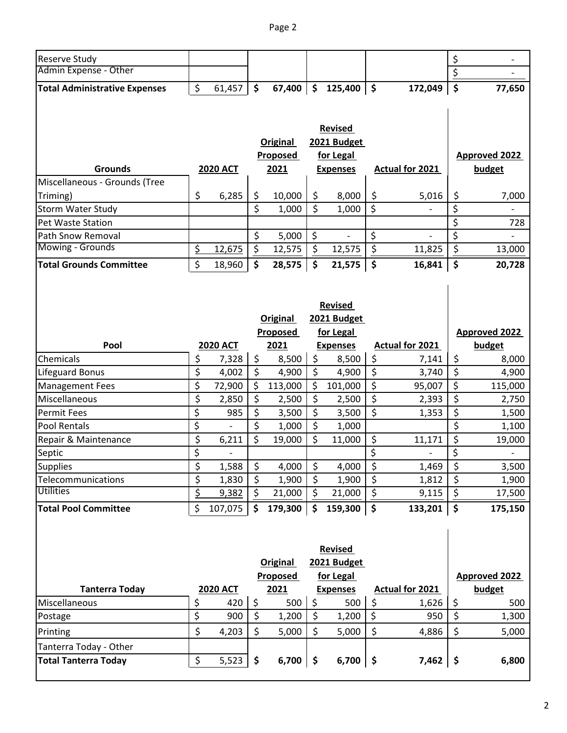| Reserve Study                        |                 |                 |                          |                               |                          |                 | \$                      |                      |
|--------------------------------------|-----------------|-----------------|--------------------------|-------------------------------|--------------------------|-----------------|-------------------------|----------------------|
| Admin Expense - Other                |                 |                 |                          |                               |                          |                 | \$                      |                      |
| <b>Total Administrative Expenses</b> | \$<br>61,457    | \$<br>67,400    | $\ddot{\bm{\zeta}}$      | 125,400                       | $\dot{\mathsf{s}}$       | 172,049         | $\ddot{\bm{\zeta}}$     | 77,650               |
|                                      |                 |                 |                          |                               |                          |                 |                         |                      |
|                                      |                 |                 |                          |                               |                          |                 |                         |                      |
|                                      |                 |                 |                          | <b>Revised</b>                |                          |                 |                         |                      |
|                                      |                 | <b>Original</b> |                          | 2021 Budget                   |                          |                 |                         |                      |
|                                      |                 | Proposed        |                          | for Legal                     |                          |                 |                         | <b>Approved 2022</b> |
| <b>Grounds</b>                       | <b>2020 ACT</b> | 2021            |                          | <b>Expenses</b>               |                          | Actual for 2021 |                         | budget               |
| Miscellaneous - Grounds (Tree        |                 |                 |                          |                               |                          |                 |                         |                      |
| Triming)                             | \$<br>6,285     | \$<br>10,000    | \$                       | 8,000                         | \$                       | 5,016           | \$                      | 7,000                |
| Storm Water Study                    |                 | \$<br>1,000     | \$                       | 1,000                         | \$                       |                 | $\overline{\mathsf{S}}$ |                      |
| Pet Waste Station                    |                 |                 |                          |                               |                          |                 | \$                      | 728                  |
| Path Snow Removal                    |                 | \$<br>5,000     | \$                       |                               | \$                       |                 | \$                      |                      |
| Mowing - Grounds                     | \$<br>12,675    | \$<br>12,575    | \$                       | 12,575                        | $\overline{\mathcal{S}}$ | 11,825          | \$                      | 13,000               |
| <b>Total Grounds Committee</b>       | \$<br>18,960    | \$<br>28,575    | $\zeta$                  | $21,575$   \$                 |                          | 16,841          | $\vert$ \$              | 20,728               |
|                                      |                 | Original        |                          | <b>Revised</b><br>2021 Budget |                          |                 |                         |                      |
|                                      |                 | <b>Proposed</b> |                          | for Legal                     |                          |                 |                         | <b>Approved 2022</b> |
| Pool                                 | <b>2020 ACT</b> | 2021            |                          | <b>Expenses</b>               |                          | Actual for 2021 |                         | budget               |
| Chemicals                            | \$<br>7,328     | \$<br>8,500     | \$                       | 8,500                         | \$                       | 7,141           | \$                      | 8,000                |
| Lifeguard Bonus                      | \$<br>4,002     | \$<br>4,900     | \$                       | 4,900                         | \$                       | 3,740           | \$                      | 4,900                |
| <b>Management Fees</b>               | \$<br>72,900    | \$<br>113,000   | \$                       | 101,000                       | \$                       | 95,007          | \$                      | 115,000              |
| Miscellaneous                        | \$<br>2,850     | \$<br>2,500     | \$                       | 2,500                         | \$                       | 2,393           | \$                      | 2,750                |
| <b>Permit Fees</b>                   | \$<br>985       | \$<br>3,500     | \$                       | 3,500                         | \$                       | 1,353           | \$                      | 1,500                |
| <b>Pool Rentals</b>                  | \$              | \$<br>1,000     | \$                       | 1,000                         |                          |                 | \$                      | 1,100                |
| Repair & Maintenance                 | \$<br>6,211     | \$<br>19,000    | \$                       | 11,000                        | \$                       | 11,171          | \$                      | 19,000               |
| Septic                               | \$              |                 |                          |                               | \$                       |                 | \$                      |                      |
| <b>Supplies</b>                      | \$<br>1,588     | \$<br>4,000     | \$                       | 4,000                         | \$                       | 1,469           | \$                      | 3,500                |
| Telecommunications                   | \$<br>1,830     | \$<br>1,900     | $\overline{\mathcal{S}}$ | 1,900                         | $\overline{\xi}$         | 1,812           | $\zeta$                 | 1,900                |
| <b>Utilities</b>                     | \$<br>9,382     | \$<br>21,000    | \$                       | 21,000                        | \$                       | 9,115           | \$                      | 17,500               |
| <b>Total Pool Committee</b>          | \$<br>107,075   | \$<br>179,300   | $\dot{\mathsf{s}}$       | 159,300                       | \$                       | 133,201         | l \$                    | 175,150              |
|                                      |                 |                 |                          |                               |                          |                 |                         |                      |
|                                      |                 |                 |                          |                               |                          |                 |                         |                      |

|                             | <b>Revised</b> |                 |     |          |    |                 |  |                        |  |                      |
|-----------------------------|----------------|-----------------|-----|----------|----|-----------------|--|------------------------|--|----------------------|
|                             |                |                 |     | Original |    | 2021 Budget     |  |                        |  |                      |
|                             |                |                 |     | Proposed |    | for Legal       |  |                        |  | <b>Approved 2022</b> |
| <b>Tanterra Today</b>       |                | <b>2020 ACT</b> |     | 2021     |    | <b>Expenses</b> |  | <b>Actual for 2021</b> |  | budget               |
| Miscellaneous               |                | 420             |     | 500      |    | 500             |  | 1,626                  |  | 500                  |
| Postage                     |                | 900             |     | 1,200    |    | 1,200           |  | 950                    |  | 1,300                |
| Printing                    |                | 4,203           | S   | 5,000    |    | 5,000           |  | 4,886                  |  | 5,000                |
| Tanterra Today - Other      |                |                 |     |          |    |                 |  |                        |  |                      |
| <b>Total Tanterra Today</b> |                | 5,523           | \$, | 6,700    | .S | $6,700$   \$    |  | 7,462                  |  | 6,800                |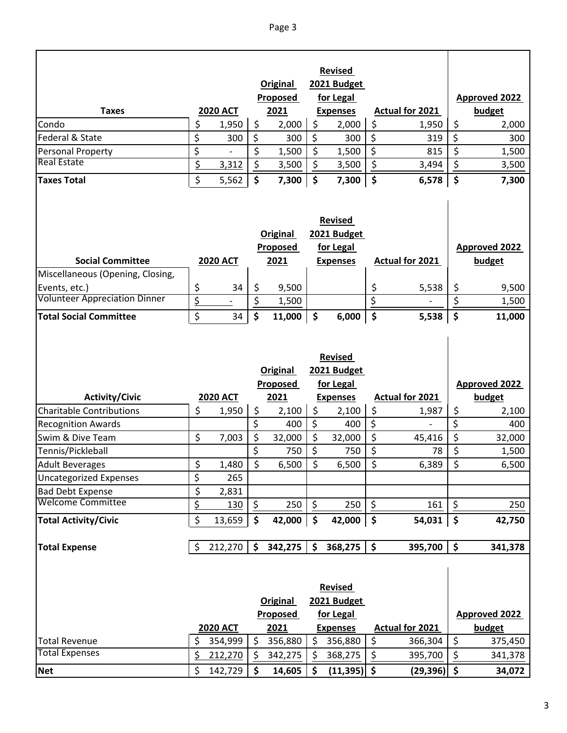|                                                          |                |                 |                          |                              |                      | <b>Revised</b>                                                |                     |                        |                          |                                |
|----------------------------------------------------------|----------------|-----------------|--------------------------|------------------------------|----------------------|---------------------------------------------------------------|---------------------|------------------------|--------------------------|--------------------------------|
|                                                          |                |                 |                          | <b>Original</b>              |                      | 2021 Budget                                                   |                     |                        |                          |                                |
|                                                          |                |                 |                          | Proposed                     |                      | for Legal                                                     |                     |                        |                          | <b>Approved 2022</b>           |
| <b>Taxes</b>                                             |                | <b>2020 ACT</b> |                          | 2021                         |                      | <b>Expenses</b>                                               |                     | <b>Actual for 2021</b> |                          | budget                         |
| Condo                                                    | \$             | 1,950           | \$                       | 2,000                        | \$                   | 2,000                                                         | \$                  | 1,950                  | \$                       | 2,000                          |
| Federal & State                                          | \$             | 300             | \$                       | 300                          | \$                   | 300                                                           | \$                  | 319                    | \$                       | 300                            |
| <b>Personal Property</b>                                 | \$             |                 | \$                       | 1,500                        | \$                   | 1,500                                                         | \$                  | 815                    | \$                       | 1,500                          |
| <b>Real Estate</b>                                       | \$             | 3,312           | $\overline{\mathcal{S}}$ | 3,500                        | \$                   | 3,500                                                         | \$                  | 3,494                  | $\overline{\xi}$         | 3,500                          |
| <b>Taxes Total</b>                                       | \$             | 5,562           | \$                       | 7,300                        | \$                   | 7,300                                                         | \$                  | 6,578                  | $\zeta$                  | 7,300                          |
|                                                          |                |                 |                          |                              |                      | <b>Revised</b>                                                |                     |                        |                          |                                |
|                                                          |                |                 |                          | <b>Original</b>              |                      | 2021 Budget                                                   |                     |                        |                          |                                |
|                                                          |                |                 |                          | <b>Proposed</b>              |                      | for Legal                                                     |                     |                        |                          | <b>Approved 2022</b>           |
| <b>Social Committee</b>                                  |                | <b>2020 ACT</b> |                          | 2021                         |                      | <b>Expenses</b>                                               |                     | <b>Actual for 2021</b> |                          | budget                         |
| Miscellaneous (Opening, Closing,                         |                |                 |                          |                              |                      |                                                               |                     |                        |                          |                                |
| Events, etc.)                                            | \$             | 34              | \$                       | 9,500                        |                      |                                                               | \$                  | 5,538                  | \$                       | 9,500                          |
| <b>Volunteer Appreciation Dinner</b>                     | $\overline{5}$ |                 | \$                       | 1,500                        |                      |                                                               | \$                  |                        | \$                       | 1,500                          |
| <b>Total Social Committee</b>                            | \$             | 34              | \$                       | 11,000                       | $\boldsymbol{\zeta}$ | 6,000                                                         | \$                  | 5,538                  | \$                       | 11,000                         |
|                                                          |                |                 |                          | Original                     |                      | <b>Revised</b><br>2021 Budget                                 |                     |                        |                          |                                |
|                                                          |                |                 |                          | <b>Proposed</b>              |                      | for Legal                                                     |                     |                        |                          | <b>Approved 2022</b>           |
| <b>Activity/Civic</b>                                    |                | <b>2020 ACT</b> |                          | 2021                         |                      | <b>Expenses</b>                                               |                     | Actual for 2021        |                          | budget                         |
| <b>Charitable Contributions</b>                          | \$             | 1,950           | \$                       | 2,100                        | \$                   | 2,100                                                         | \$                  | 1,987                  | \$                       | 2,100                          |
| <b>Recognition Awards</b>                                |                |                 | \$                       | 400                          | \$                   | 400                                                           | \$                  |                        | \$                       | 400                            |
| Swim & Dive Team                                         | \$             | 7,003           | \$                       | 32,000                       | \$                   | 32,000                                                        | \$                  | 45,416                 | \$                       | 32,000                         |
| Tennis/Pickleball                                        |                |                 | \$                       | 750                          | \$                   | 750                                                           | \$                  | 78                     | \$                       | 1,500                          |
| <b>Adult Beverages</b>                                   | \$             | 1,480           | \$                       | 6,500                        | \$                   | 6,500                                                         | \$                  | 6,389                  | $\overline{\mathcal{S}}$ | 6,500                          |
| <b>Uncategorized Expenses</b><br><b>Bad Debt Expense</b> | \$             | 265             |                          |                              |                      |                                                               |                     |                        |                          |                                |
| <b>Welcome Committee</b>                                 | \$<br>\$       | 2,831<br>130    | \$                       | 250                          | \$                   | 250                                                           | \$                  | 161                    | \$                       | 250                            |
|                                                          |                |                 |                          |                              |                      |                                                               |                     |                        |                          |                                |
| <b>Total Activity/Civic</b>                              | \$             | 13,659          | \$                       | 42,000                       | \$                   | 42,000                                                        | $\ddot{\bm{\zeta}}$ | 54,031                 | $\ddot{\bm{\zeta}}$      | 42,750                         |
| <b>Total Expense</b>                                     | \$             | 212,270         | $\mathsf{\$}$            | 342,275                      | $\boldsymbol{\zeta}$ | 368,275                                                       | \$                  | 395,700                | $\ddot{\bm{\zeta}}$      | 341,378                        |
|                                                          |                | <b>2020 ACT</b> |                          | Original<br>Proposed<br>2021 |                      | <b>Revised</b><br>2021 Budget<br>for Legal<br><b>Expenses</b> |                     | <b>Actual for 2021</b> |                          | <b>Approved 2022</b><br>budget |
| <b>Total Revenue</b>                                     | \$             | 354,999         | \$                       | 356,880                      | \$                   | 356,880                                                       | \$                  | 366,304                | \$                       | 375,450                        |
| <b>Total Expenses</b>                                    | \$             | 212,270         | \$                       | 342,275                      | $\zeta$              | 368,275                                                       | \$                  | 395,700                | \$                       | 341,378                        |
| <b>Net</b>                                               | \$             | 142,729         | \$                       | 14,605                       | \$                   | $(11,395)$ \$                                                 |                     | $(29,396)$ \$          |                          | 34,072                         |